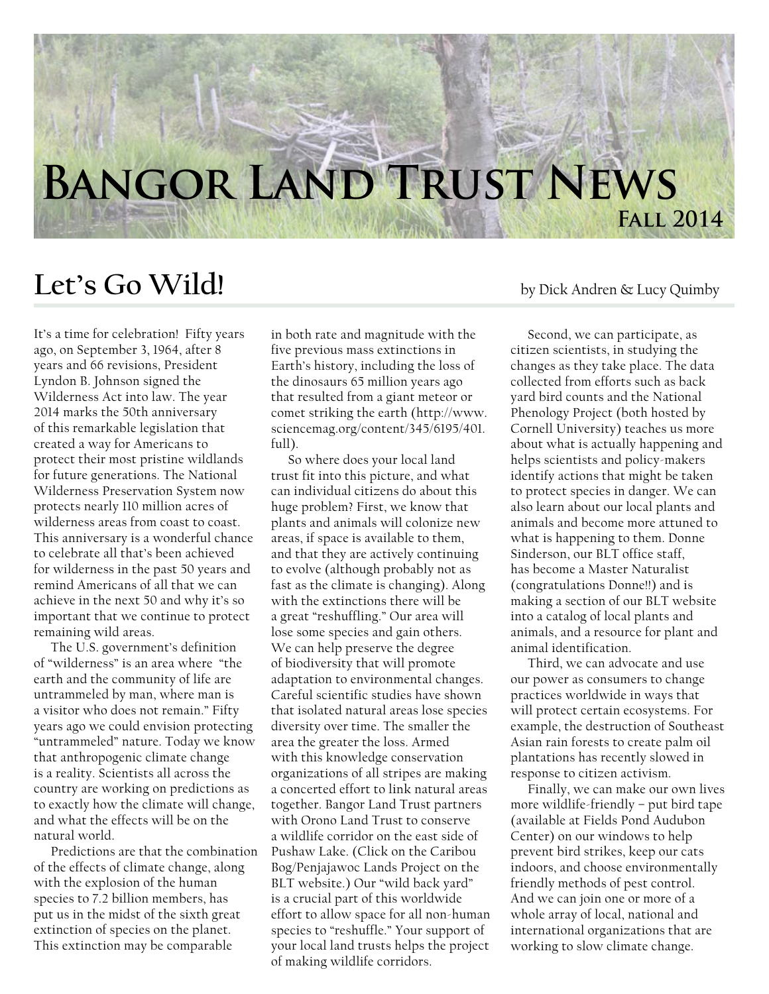## **Bangor Land Trust News Fall 2014**

## Let's Go Wild! by Dick Andren & Lucy Quimby

It's a time for celebration! Fifty years ago, on September 3, 1964, after 8 years and 66 revisions, President Lyndon B. Johnson signed the Wilderness Act into law. The year 2014 marks the 50th anniversary of this remarkable legislation that created a way for Americans to protect their most pristine wildlands for future generations. The National Wilderness Preservation System now protects nearly 110 million acres of wilderness areas from coast to coast. This anniversary is a wonderful chance to celebrate all that's been achieved for wilderness in the past 50 years and remind Americans of all that we can achieve in the next 50 and why it's so important that we continue to protect remaining wild areas.

The U.S. government's definition of "wilderness" is an area where "the earth and the community of life are untrammeled by man, where man is a visitor who does not remain." Fifty years ago we could envision protecting "untrammeled" nature. Today we know that anthropogenic climate change is a reality. Scientists all across the country are working on predictions as to exactly how the climate will change, and what the effects will be on the natural world.

Predictions are that the combination of the effects of climate change, along with the explosion of the human species to 7.2 billion members, has put us in the midst of the sixth great extinction of species on the planet. This extinction may be comparable

in both rate and magnitude with the five previous mass extinctions in Earth's history, including the loss of the dinosaurs 65 million years ago that resulted from a giant meteor or comet striking the earth (http://www. sciencemag.org/content/345/6195/401. full).

So where does your local land trust fit into this picture, and what can individual citizens do about this huge problem? First, we know that plants and animals will colonize new areas, if space is available to them, and that they are actively continuing to evolve (although probably not as fast as the climate is changing). Along with the extinctions there will be a great "reshuffling." Our area will lose some species and gain others. We can help preserve the degree of biodiversity that will promote adaptation to environmental changes. Careful scientific studies have shown that isolated natural areas lose species diversity over time. The smaller the area the greater the loss. Armed with this knowledge conservation organizations of all stripes are making a concerted effort to link natural areas together. Bangor Land Trust partners with Orono Land Trust to conserve a wildlife corridor on the east side of Pushaw Lake. (Click on the Caribou Bog/Penjajawoc Lands Project on the BLT website.) Our "wild back yard" is a crucial part of this worldwide effort to allow space for all non-human species to "reshuffle." Your support of your local land trusts helps the project of making wildlife corridors.

Second, we can participate, as citizen scientists, in studying the changes as they take place. The data collected from efforts such as back yard bird counts and the National Phenology Project (both hosted by Cornell University) teaches us more about what is actually happening and helps scientists and policy-makers identify actions that might be taken to protect species in danger. We can also learn about our local plants and animals and become more attuned to what is happening to them. Donne Sinderson, our BLT office staff, has become a Master Naturalist (congratulations Donne!!) and is making a section of our BLT website into a catalog of local plants and animals, and a resource for plant and animal identification.

Third, we can advocate and use our power as consumers to change practices worldwide in ways that will protect certain ecosystems. For example, the destruction of Southeast Asian rain forests to create palm oil plantations has recently slowed in response to citizen activism.

Finally, we can make our own lives more wildlife-friendly – put bird tape (available at Fields Pond Audubon Center) on our windows to help prevent bird strikes, keep our cats indoors, and choose environmentally friendly methods of pest control. And we can join one or more of a whole array of local, national and international organizations that are working to slow climate change.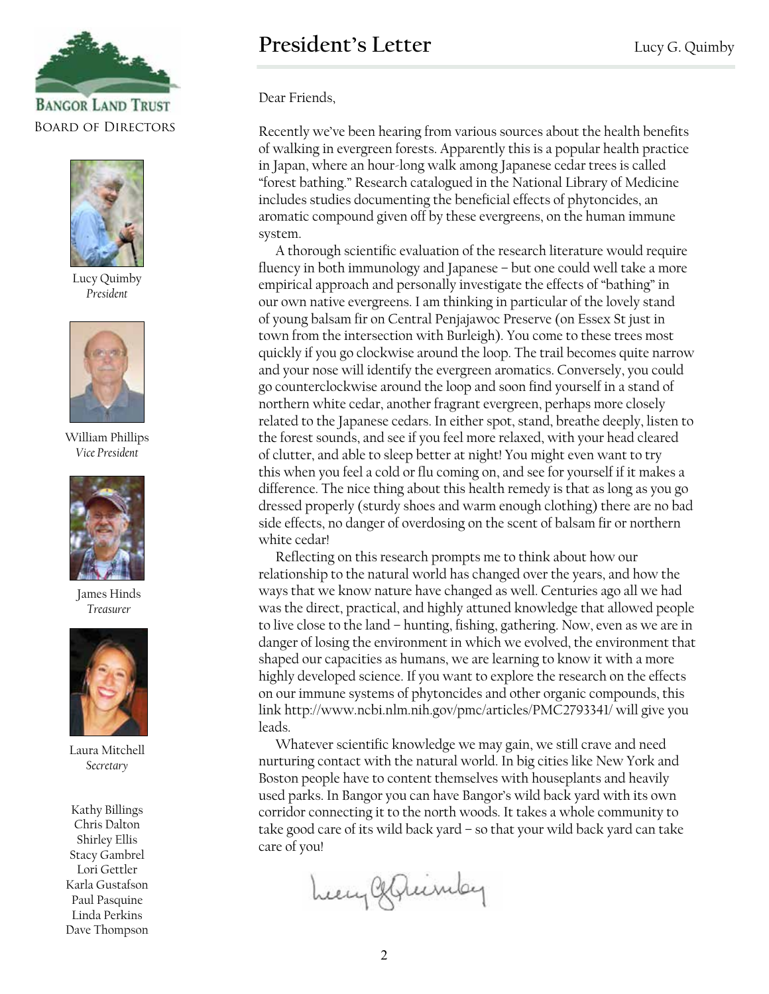



Lucy Quimby *President*



William Phillips *Vice President*



James Hinds *Treasurer*



Laura Mitchell *Secretary*

Kathy Billings Chris Dalton Shirley Ellis Stacy Gambrel Lori Gettler Karla Gustafson Paul Pasquine Linda Perkins Dave Thompson Dear Friends,

Recently we've been hearing from various sources about the health benefits of walking in evergreen forests. Apparently this is a popular health practice in Japan, where an hour-long walk among Japanese cedar trees is called "forest bathing." Research catalogued in the National Library of Medicine includes studies documenting the beneficial effects of phytoncides, an aromatic compound given off by these evergreens, on the human immune system.

A thorough scientific evaluation of the research literature would require fluency in both immunology and Japanese – but one could well take a more empirical approach and personally investigate the effects of "bathing" in our own native evergreens. I am thinking in particular of the lovely stand of young balsam fir on Central Penjajawoc Preserve (on Essex St just in town from the intersection with Burleigh). You come to these trees most quickly if you go clockwise around the loop. The trail becomes quite narrow and your nose will identify the evergreen aromatics. Conversely, you could go counterclockwise around the loop and soon find yourself in a stand of northern white cedar, another fragrant evergreen, perhaps more closely related to the Japanese cedars. In either spot, stand, breathe deeply, listen to the forest sounds, and see if you feel more relaxed, with your head cleared of clutter, and able to sleep better at night! You might even want to try this when you feel a cold or flu coming on, and see for yourself if it makes a difference. The nice thing about this health remedy is that as long as you go dressed properly (sturdy shoes and warm enough clothing) there are no bad side effects, no danger of overdosing on the scent of balsam fir or northern white cedar!

Reflecting on this research prompts me to think about how our relationship to the natural world has changed over the years, and how the ways that we know nature have changed as well. Centuries ago all we had was the direct, practical, and highly attuned knowledge that allowed people to live close to the land – hunting, fishing, gathering. Now, even as we are in danger of losing the environment in which we evolved, the environment that shaped our capacities as humans, we are learning to know it with a more highly developed science. If you want to explore the research on the effects on our immune systems of phytoncides and other organic compounds, this link http://www.ncbi.nlm.nih.gov/pmc/articles/PMC2793341/ will give you leads.

Whatever scientific knowledge we may gain, we still crave and need nurturing contact with the natural world. In big cities like New York and Boston people have to content themselves with houseplants and heavily used parks. In Bangor you can have Bangor's wild back yard with its own corridor connecting it to the north woods. It takes a whole community to take good care of its wild back yard – so that your wild back yard can take care of you!

Lecy Generaley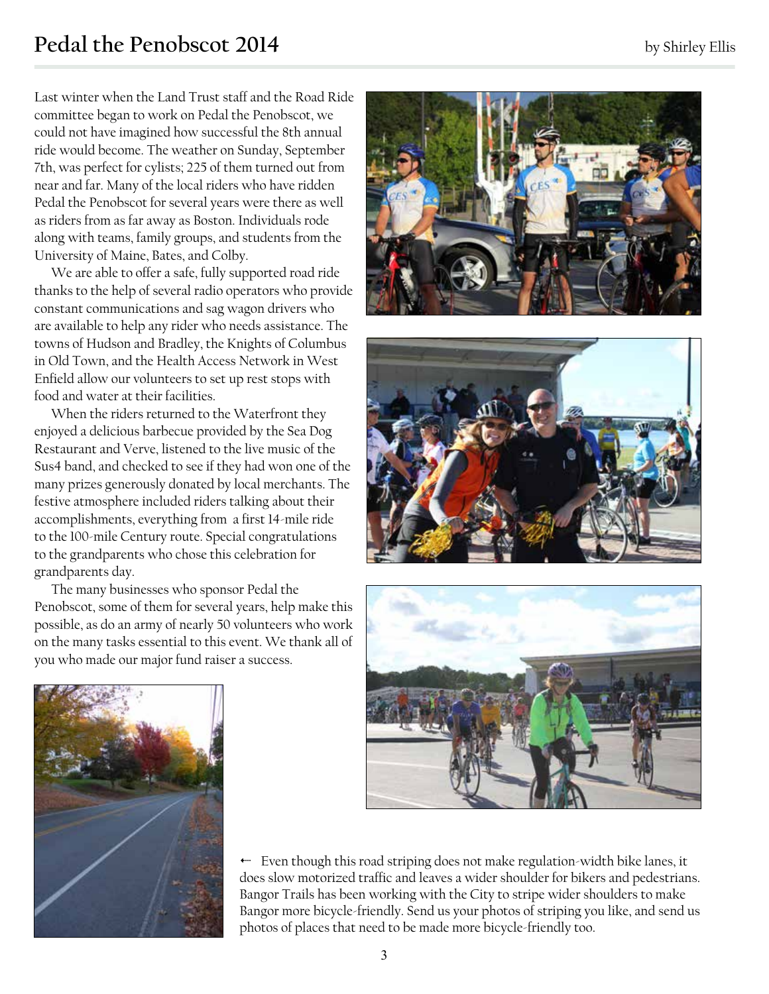## **Pedal the Penobscot 2014** by Shirley Ellis

Last winter when the Land Trust staff and the Road Ride committee began to work on Pedal the Penobscot, we could not have imagined how successful the 8th annual ride would become. The weather on Sunday, September 7th, was perfect for cylists; 225 of them turned out from near and far. Many of the local riders who have ridden Pedal the Penobscot for several years were there as well as riders from as far away as Boston. Individuals rode along with teams, family groups, and students from the University of Maine, Bates, and Colby.

We are able to offer a safe, fully supported road ride thanks to the help of several radio operators who provide constant communications and sag wagon drivers who are available to help any rider who needs assistance. The towns of Hudson and Bradley, the Knights of Columbus in Old Town, and the Health Access Network in West Enfield allow our volunteers to set up rest stops with food and water at their facilities.

When the riders returned to the Waterfront they enjoyed a delicious barbecue provided by the Sea Dog Restaurant and Verve, listened to the live music of the Sus4 band, and checked to see if they had won one of the many prizes generously donated by local merchants. The festive atmosphere included riders talking about their accomplishments, everything from a first 14-mile ride to the 100-mile Century route. Special congratulations to the grandparents who chose this celebration for grandparents day.

The many businesses who sponsor Pedal the Penobscot, some of them for several years, help make this possible, as do an army of nearly 50 volunteers who work on the many tasks essential to this event. We thank all of you who made our major fund raiser a success.









3 Even though this road striping does not make regulation-width bike lanes, it does slow motorized traffic and leaves a wider shoulder for bikers and pedestrians. Bangor Trails has been working with the City to stripe wider shoulders to make Bangor more bicycle-friendly. Send us your photos of striping you like, and send us photos of places that need to be made more bicycle-friendly too.